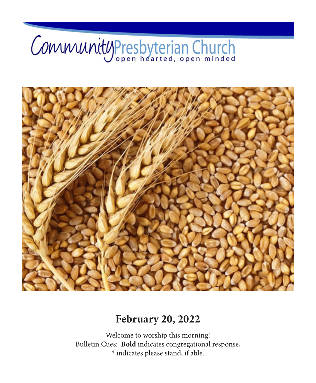# CommunityPresbyterian Church



## **February 20, 2022**

Welcome to worship this morning! Bulletin Cues: **Bold** indicates congregational response, \* indicates please stand, if able.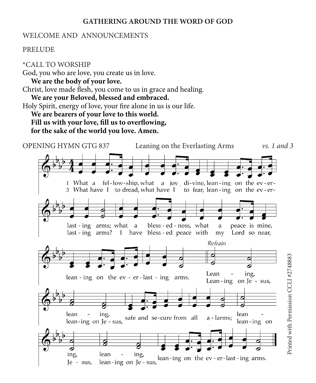#### **GATHERING AROUND THE WORD OF GOD**

#### WELCOME AND ANNOUNCEMENTS

#### PRELUDE

\*CALL TO WORSHIP God, you who are love, you create us in love. **We are the body of your love.** Christ, love made flesh, you come to us in grace and healing. **We are your Beloved, blessed and embraced.** Holy Spirit, energy of love, your fire alone in us is our life. **We are bearers of your love to this world. Fill us with your love, fill us to overflowing,**

**for the sake of the world you love. Amen.**

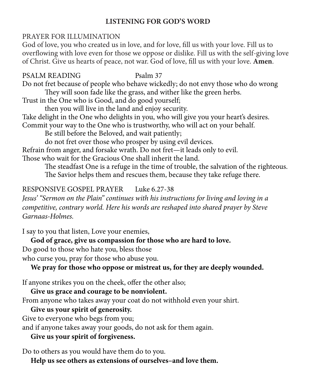#### **LISTENING FOR GOD'S WORD**

#### PRAYER FOR ILLUMINATION

God of love, you who created us in love, and for love, fill us with your love. Fill us to overflowing with love even for those we oppose or dislike. Fill us with the self-giving love of Christ. Give us hearts of peace, not war. God of love, fill us with your love. **Amen**.

#### PSALM READING Psalm 37

Do not fret because of people who behave wickedly; do not envy those who do wrong They will soon fade like the grass, and wither like the green herbs.

Trust in the One who is Good, and do good yourself;

then you will live in the land and enjoy security. Take delight in the One who delights in you, who will give you your heart's desires.

Commit your way to the One who is trustworthy, who will act on your behalf.

Be still before the Beloved, and wait patiently;

do not fret over those who prosper by using evil devices.

Refrain from anger, and forsake wrath. Do not fret—it leads only to evil. Those who wait for the Gracious One shall inherit the land.

The steadfast One is a refuge in the time of trouble, the salvation of the righteous. The Savior helps them and rescues them, because they take refuge there.

#### RESPONSIVE GOSPEL PRAYER Luke 6.27-38

*Jesus' "Sermon on the Plain" continues with his instructions for living and loving in a competitive, contrary world. Here his words are reshaped into shared prayer by Steve Garnaas-Holmes.*

I say to you that listen, Love your enemies,

#### **God of grace, give us compassion for those who are hard to love.**

Do good to those who hate you, bless those

who curse you, pray for those who abuse you.

**We pray for those who oppose or mistreat us, for they are deeply wounded.**

If anyone strikes you on the cheek, offer the other also;

#### **Give us grace and courage to be nonviolent.**

From anyone who takes away your coat do not withhold even your shirt.

#### **Give us your spirit of generosity.**

Give to everyone who begs from you;

and if anyone takes away your goods, do not ask for them again.

**Give us your spirit of forgiveness.**

Do to others as you would have them do to you.

**Help us see others as extensions of ourselves–and love them.**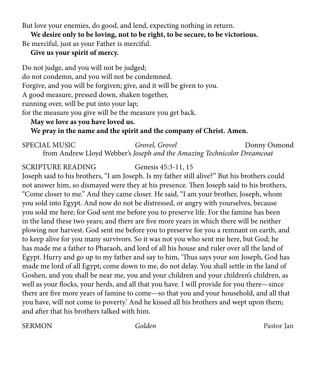But love your enemies, do good, and lend, expecting nothing in return.

**We desire only to be loving, not to be right, to be secure, to be victorious.** Be merciful, just as your Father is merciful.

#### **Give us your spirit of mercy.**

Do not judge, and you will not be judged; do not condemn, and you will not be condemned. Forgive, and you will be forgiven; give, and it will be given to you. A good measure, pressed down, shaken together, running over, will be put into your lap; for the measure you give will be the measure you get back.

#### **May we love as you have loved us.**

#### **We pray in the name and the spirit and the company of Christ. Amen.**

SPECIAL MUSIC *Grovel, Grovel* Donny Osmond from Andrew Lloyd Webber's *Joseph and the Amazing Technicolor Dreamcoat*

#### SCRIPTURE READING Genesis 45:3-11, 15

Joseph said to his brothers, "I am Joseph. Is my father still alive?" But his brothers could not answer him, so dismayed were they at his presence. Then Joseph said to his brothers, "Come closer to me." And they came closer. He said, "I am your brother, Joseph, whom you sold into Egypt. And now do not be distressed, or angry with yourselves, because you sold me here; for God sent me before you to preserve life. For the famine has been in the land these two years; and there are five more years in which there will be neither plowing nor harvest. God sent me before you to preserve for you a remnant on earth, and to keep alive for you many survivors. So it was not you who sent me here, but God; he has made me a father to Pharaoh, and lord of all his house and ruler over all the land of Egypt. Hurry and go up to my father and say to him, 'Thus says your son Joseph, God has made me lord of all Egypt; come down to me, do not delay. You shall settle in the land of Goshen, and you shall be near me, you and your children and your children's children, as well as your flocks, your herds, and all that you have. I will provide for you there—since there are five more years of famine to come—so that you and your household, and all that you have, will not come to poverty.' And he kissed all his brothers and wept upon them; and after that his brothers talked with him.

SERMON *Golden* Pastor Jan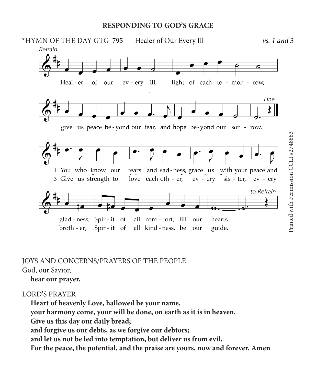#### **RESPONDING TO GOD'S GRACE**



### JOYS AND CONCERNS/PRAYERS OF THE PEOPLE

#### God, our Savior,

#### **hear our prayer.**

#### LORD'S PRAYER

**Heart of heavenly Love, hallowed be your name.**

**your harmony come, your will be done, on earth as it is in heaven.**

**Give us this day our daily bread;**

**and forgive us our debts, as we forgive our debtors;**

**and let us not be led into temptation, but deliver us from evil.**

**For the peace, the potential, and the praise are yours, now and forever. Amen**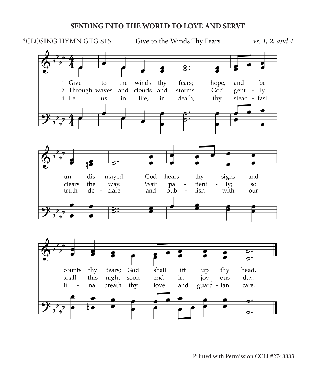#### **SENDING INTO THE WORLD TO LOVE AND SERVE**



Printed with Permission CCLI #2748883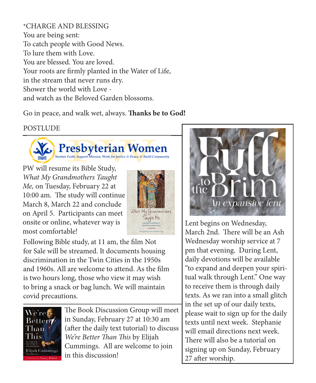\*CHARGE AND BLESSING You are being sent: To catch people with Good News. To lure them with Love. You are blessed. You are loved. Your roots are firmly planted in the Water of Life, in the stream that never runs dry. Shower the world with Love and watch as the Beloved Garden blossoms.

Go in peace, and walk wet, always. **Thanks be to God!**

#### **POSTLUDE**



PW will resume its Bible Study, *What My Grandmothers Taught Me,* on Tuesday, February 22 at 10:00 am. The study will continue March 8, March 22 and conclude on April 5. Participants can meet onsite or online, whatever way is most comfortable!



Following Bible study, at 11 am, the film Not for Sale will be streamed. It documents housing discrimination in the Twin Cities in the 1950s and 1960s. All are welcome to attend. As the film is two hours long, those who view it may wish to bring a snack or bag lunch. We will maintain covid precautions.



The Book Discussion Group will meet in Sunday, February 27 at 10:30 am (after the daily text tutorial) to discuss *We're Better Than This* by Elijah Cummings. All are welcome to join in this discussion!



Lent begins on Wednesday, March 2nd. There will be an Ash Wednesday worship service at 7 pm that evening. During Lent, daily devotions will be available "to expand and deepen your spiritual walk through Lent." One way to receive them is through daily texts. As we ran into a small glitch in the set up of our daily texts, please wait to sign up for the daily texts until next week. Stephanie will email directions next week. There will also be a tutorial on signing up on Sunday, February 27 after worship.